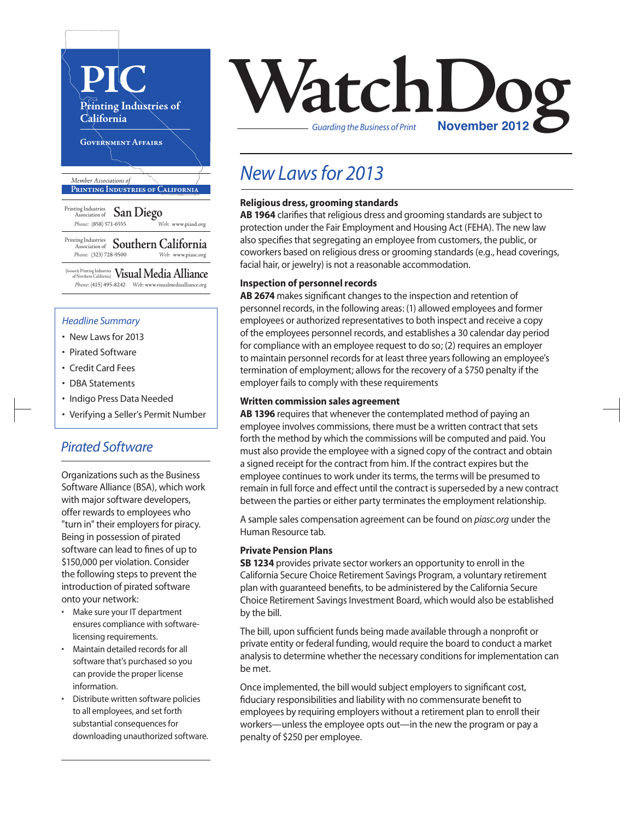

(formerly Printing Industries of Northern California) **Visual Media Alliance** *Phone:* (415) 495-8242 *Web:* www.visualmediaalliance.org

#### *Headline Summary*

- New Lawsfor 2013
- Pirated Software
- Credit Card Fees
- DBA Statements
- Indigo Press Data Needed
- Verifying a Seller's Permit Number

#### *Pirated Software*

Organizations such as the Business Software Alliance (BSA), which work with major software developers, offer rewards to employees who "turn in" their employers for piracy. Being in possession of pirated software can lead to fines of up to \$150,000 per violation. Consider the following steps to prevent the introduction of pirated software onto your network:

- Make sure your IT department ensures compliance with softwarelicensing requirements.
- Maintain detailed records for all software that's purchased so you can provide the proper license information.
- Distribute written software policies to all employees, and set forth substantial consequences for downloading unauthorized software.



### *New Laws for 2013*

#### **Religious dress, grooming standards**

AB 1964 clarifies that religious dress and grooming standards are subject to protection under the Fair Employment and Housing Act (FEHA). The new law also specifies that segregating an employee from customers, the public, or coworkers based on religious dress or grooming standards(e.g., head coverings, facial hair, or jewelry) is not a reasonable accommodation.

#### **Inspection of personnel records**

**AB 2674** makes significant changes to the inspection and retention of personnel records, in the following areas: (1) allowed employees and former employees or authorized representatives to both inspect and receive a copy of the employees personnel records, and establishes a 30 calendar day period for compliance with an employee request to do so; (2) requires an employer to maintain personnel records for at least three years following an employee's termination of employment; allows for the recovery of a \$750 penalty if the employer fails to comply with these requirements

#### **Written commission sales agreement**

**AB 1396** requires that whenever the contemplated method of paying an employee involves commissions, there must be a written contract that sets forth the method by which the commissions will be computed and paid. You must also provide the employee with a signed copy of the contract and obtain a signed receipt for the contract from him. If the contract expires but the employee continues to work under its terms, the terms will be presumed to remain in full force and effect until the contract is superseded by a new contract between the parties or either party terminates the employment relationship.

A sample sales compensation agreement can be found on *piasc.org* under the Human Resource tab.

#### **Private Pension Plans**

**SB 1234** provides private sector workers an opportunity to enroll in the California Secure Choice Retirement Savings Program, a voluntary retirement plan with guaranteed benefits, to be administered by the California Secure Choice Retirement Savings Investment Board, which would also be established by the bill.

The bill, upon sufficient funds being made available through a nonprofit or private entity or federal funding, would require the board to conduct a market analysis to determine whether the necessary conditions for implementation can be met.

Once implemented, the bill would subject employers to significant cost, fiduciary responsibilities and liability with no commensurate benefit to employees by requiring employers without a retirement plan to enroll their workers—unless the employee opts out—in the new the program or pay a penalty of \$250 per employee.